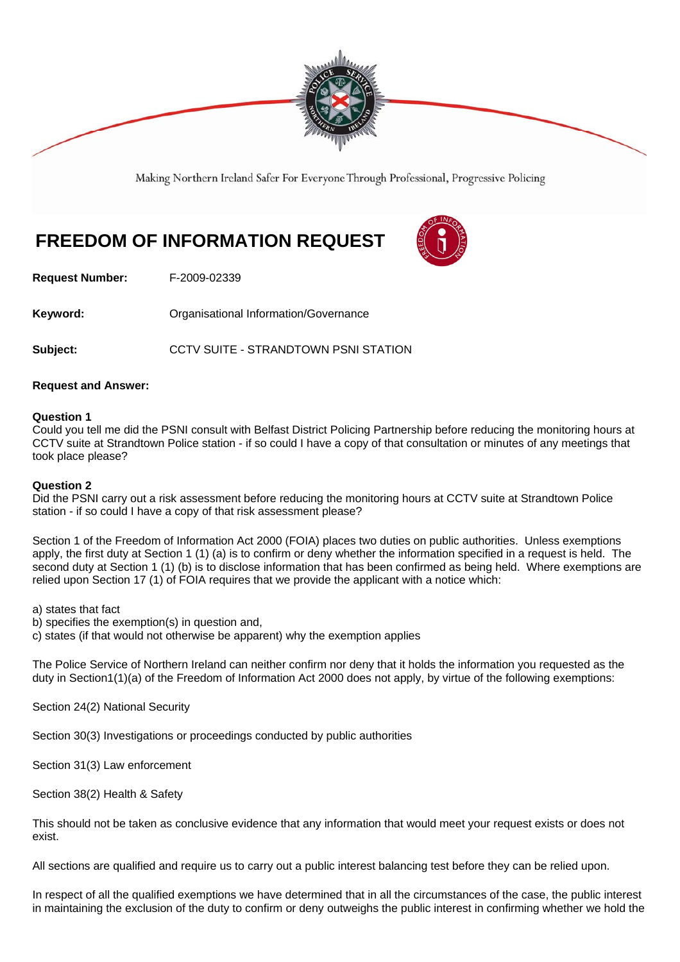

Making Northern Ireland Safer For Everyone Through Professional, Progressive Policing

# **FREEDOM OF INFORMATION REQUEST**



**Request Number:** F-2009-02339

**Keyword: Comparent Comparent Constrainers** Organisational Information/Governance

**Subject: CCTV SUITE - STRANDTOWN PSNI STATION** 

# **Request and Answer:**

#### **Question 1**

Could you tell me did the PSNI consult with Belfast District Policing Partnership before reducing the monitoring hours at CCTV suite at Strandtown Police station - if so could I have a copy of that consultation or minutes of any meetings that took place please?

#### **Question 2**

Did the PSNI carry out a risk assessment before reducing the monitoring hours at CCTV suite at Strandtown Police station - if so could I have a copy of that risk assessment please?

Section 1 of the Freedom of Information Act 2000 (FOIA) places two duties on public authorities. Unless exemptions apply, the first duty at Section 1 (1) (a) is to confirm or deny whether the information specified in a request is held. The second duty at Section 1 (1) (b) is to disclose information that has been confirmed as being held. Where exemptions are relied upon Section 17 (1) of FOIA requires that we provide the applicant with a notice which:

a) states that fact

b) specifies the exemption(s) in question and,

c) states (if that would not otherwise be apparent) why the exemption applies

The Police Service of Northern Ireland can neither confirm nor deny that it holds the information you requested as the duty in Section1(1)(a) of the Freedom of Information Act 2000 does not apply, by virtue of the following exemptions:

Section 24(2) National Security

Section 30(3) Investigations or proceedings conducted by public authorities

Section 31(3) Law enforcement

Section 38(2) Health & Safety

This should not be taken as conclusive evidence that any information that would meet your request exists or does not exist.

All sections are qualified and require us to carry out a public interest balancing test before they can be relied upon.

In respect of all the qualified exemptions we have determined that in all the circumstances of the case, the public interest in maintaining the exclusion of the duty to confirm or deny outweighs the public interest in confirming whether we hold the